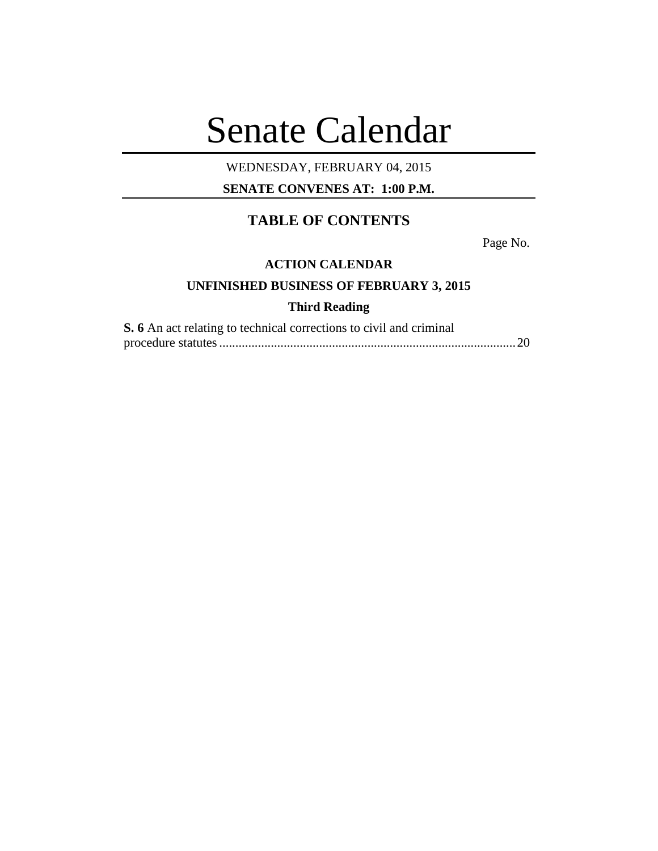# Senate Calendar

## WEDNESDAY, FEBRUARY 04, 2015

**SENATE CONVENES AT: 1:00 P.M.**

# **TABLE OF CONTENTS**

Page No.

### **ACTION CALENDAR**

# **UNFINISHED BUSINESS OF FEBRUARY 3, 2015**

# **Third Reading**

| <b>S.</b> 6 An act relating to technical corrections to civil and criminal |  |
|----------------------------------------------------------------------------|--|
|                                                                            |  |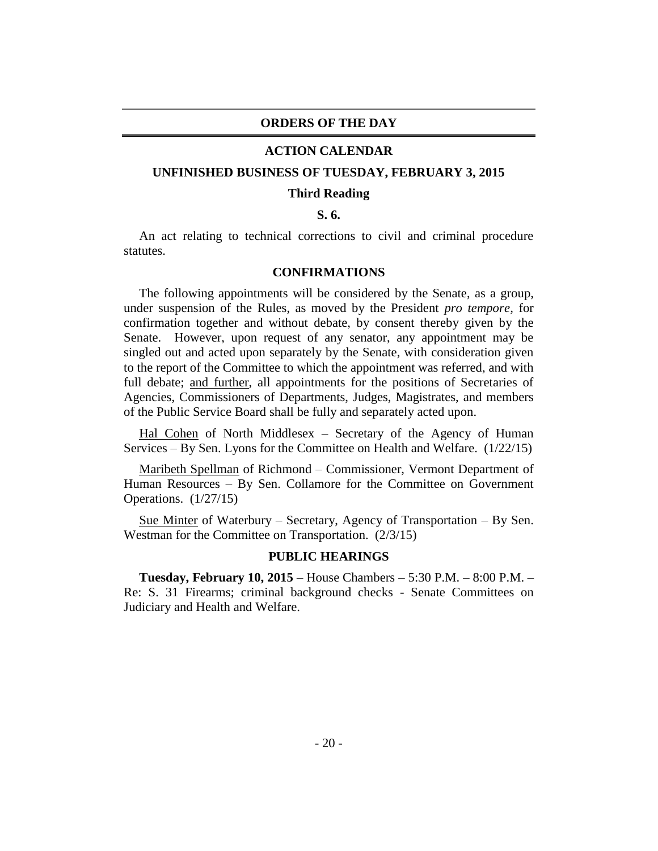#### **ORDERS OF THE DAY**

#### **ACTION CALENDAR**

#### **UNFINISHED BUSINESS OF TUESDAY, FEBRUARY 3, 2015**

#### **Third Reading**

#### **S. 6.**

An act relating to technical corrections to civil and criminal procedure statutes.

#### **CONFIRMATIONS**

The following appointments will be considered by the Senate, as a group, under suspension of the Rules, as moved by the President *pro tempore,* for confirmation together and without debate, by consent thereby given by the Senate. However, upon request of any senator, any appointment may be singled out and acted upon separately by the Senate, with consideration given to the report of the Committee to which the appointment was referred, and with full debate; <u>and further</u>, all appointments for the positions of Secretaries of Agencies, Commissioners of Departments, Judges, Magistrates, and members of the Public Service Board shall be fully and separately acted upon.

Hal Cohen of North Middlesex – Secretary of the Agency of Human Services – By Sen. Lyons for the Committee on Health and Welfare. (1/22/15)

Maribeth Spellman of Richmond – Commissioner, Vermont Department of Human Resources – By Sen. Collamore for the Committee on Government Operations. (1/27/15)

Sue Minter of Waterbury – Secretary, Agency of Transportation – By Sen. Westman for the Committee on Transportation. (2/3/15)

#### **PUBLIC HEARINGS**

**Tuesday, February 10, 2015** – House Chambers – 5:30 P.M. – 8:00 P.M. – Re: S. 31 Firearms; criminal background checks - Senate Committees on Judiciary and Health and Welfare.